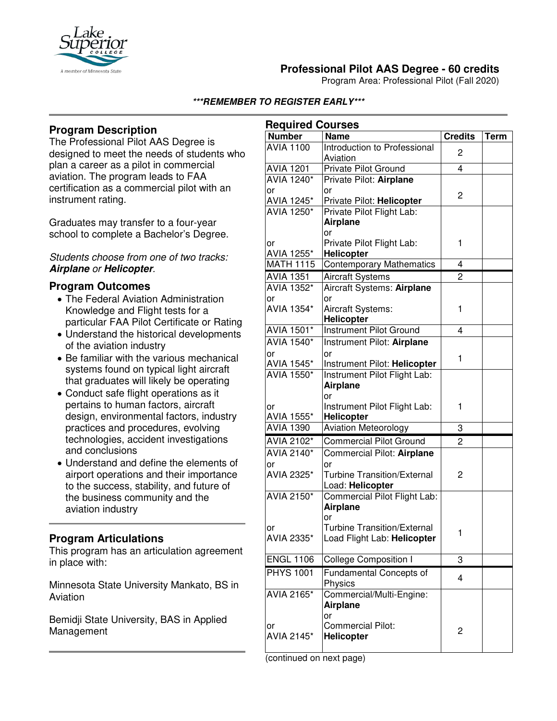

# **Professional Pilot AAS Degree - 60 credits**

Program Area: Professional Pilot (Fall 2020)

#### **\*\*\*REMEMBER TO REGISTER EARLY\*\*\***

## **Program Description**

The Professional Pilot AAS Degree is designed to meet the needs of students who plan a career as a pilot in commercial aviation. The program leads to FAA certification as a commercial pilot with an instrument rating.

Graduates may transfer to a four-year school to complete a Bachelor's Degree.

#### *Students choose from one of two tracks:*  **Airplane** *or* **Helicopter***.*

### **Program Outcomes**

- The Federal Aviation Administration Knowledge and Flight tests for a particular FAA Pilot Certificate or Rating
- Understand the historical developments of the aviation industry
- Be familiar with the various mechanical systems found on typical light aircraft that graduates will likely be operating
- Conduct safe flight operations as it pertains to human factors, aircraft design, environmental factors, industry practices and procedures, evolving technologies, accident investigations and conclusions
- Understand and define the elements of airport operations and their importance to the success, stability, and future of the business community and the aviation industry

## **Program Articulations**

This program has an articulation agreement in place with:

Minnesota State University Mankato, BS in Aviation

Bemidji State University, BAS in Applied Management

| <b>Number</b><br><b>Name</b><br><b>Credits</b><br><b>AVIA 1100</b> |             |
|--------------------------------------------------------------------|-------------|
|                                                                    | <b>Term</b> |
| Introduction to Professional<br>2                                  |             |
| Aviation                                                           |             |
| $\overline{4}$<br><b>AVIA 1201</b><br><b>Private Pilot Ground</b>  |             |
| AVIA 1240*<br>Private Pilot: Airplane                              |             |
| or<br>or<br>2                                                      |             |
| AVIA 1245*<br>Private Pilot: Helicopter                            |             |
| <b>AVIA 1250*</b><br>Private Pilot Flight Lab:                     |             |
| <b>Airplane</b>                                                    |             |
| or                                                                 |             |
| Private Pilot Flight Lab:<br>1<br>or                               |             |
| AVIA 1255*<br><b>Helicopter</b>                                    |             |
| <b>MATH 1115</b><br><b>Contemporary Mathematics</b><br>4           |             |
| $\overline{2}$<br><b>AVIA 1351</b><br><b>Aircraft Systems</b>      |             |
| AVIA 1352*<br>Aircraft Systems: Airplane                           |             |
| or<br>or                                                           |             |
| AVIA 1354*<br>Aircraft Systems:<br>1                               |             |
| <b>Helicopter</b><br>AVIA 1501*                                    |             |
| <b>Instrument Pilot Ground</b><br>4                                |             |
| <b>AVIA 1540*</b><br>Instrument Pilot: Airplane                    |             |
| or<br>or<br>1                                                      |             |
| AVIA 1545*<br>Instrument Pilot: Helicopter<br><b>AVIA 1550*</b>    |             |
| Instrument Pilot Flight Lab:                                       |             |
| <b>Airplane</b><br>or                                              |             |
| Instrument Pilot Flight Lab:<br>1<br>or                            |             |
| AVIA 1555*<br>Helicopter                                           |             |
| <b>Aviation Meteorology</b><br><b>AVIA 1390</b><br>3               |             |
| <b>Commercial Pilot Ground</b><br>AVIA 2102*<br>$\overline{c}$     |             |
| AVIA 2140*<br>Commercial Pilot: Airplane                           |             |
| or<br>or                                                           |             |
| AVIA 2325*<br><b>Turbine Transition/External</b><br>2              |             |
| Load: Helicopter                                                   |             |
| <b>AVIA 2150*</b><br>Commercial Pilot Flight Lab:                  |             |
| <b>Airplane</b>                                                    |             |
| or                                                                 |             |
| <b>Turbine Transition/External</b><br>Οľ                           |             |
| 1<br>AVIA 2335*<br>Load Flight Lab: Helicopter                     |             |
|                                                                    |             |
| <b>ENGL 1106</b><br><b>College Composition I</b><br>3              |             |
| <b>PHYS 1001</b><br>Fundamental Concepts of<br>$\overline{4}$      |             |
| Physics                                                            |             |
| Commercial/Multi-Engine:<br>AVIA 2165*                             |             |
| Airplane                                                           |             |
| or                                                                 |             |
| <b>Commercial Pilot:</b><br>or<br>2                                |             |
| AVIA 2145*<br><b>Helicopter</b>                                    |             |

(continued on next page)